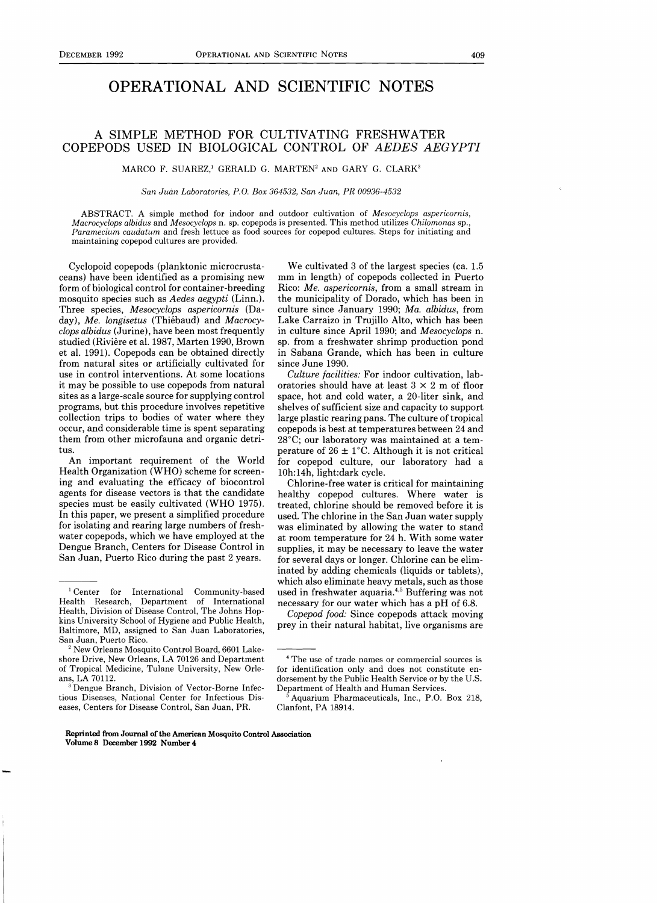## OPERATIONAL AND SCIENTIFIC NOTES

## A SIMPLE METHOD FOR CULTIVATING FRESHWATER COPEPODS USED IN BIOLOGICAL CONTROL OF *AEDES AEGYPTI*

MARCO F. SUAREZ,<sup>1</sup> GERALD G. MARTEN<sup>2</sup> AND GARY G. CLARK<sup>3</sup>

*San Juan Laboratories, P.O. Box* 364532, *San Juan, PR 00936-4532* 

ABSTRACT. A simple method for indoor and outdoor cultivation of *Mesocyclops aspericornis, Macrocyclops albidus* and *Mesocyclops* n. sp. copepods is presented. This method utilizes *Chilomonas* sp., *Paramecium caudatum* and fresh lettuce as food sources for copepod cultures. Steps for initiating and maintaining copepod cultures are provided.

Cyclopoid copepods (planktonic microcrustaceans) have been identified as a promising new form of biological control for container-breeding mosquito species such as *Aedes aegypti* (Linn.). Three species, *Mesocyclops aspericornis* (Daday), *Me. longisetus* (Thiebaud) and *Macrocyclops albidus* (Jurine), have been most frequently studied (Riviere et al. 1987, Marten 1990, Brown et al. 1991). Copepods can be obtained directly from natural sites or artificially cultivated for use in control interventions. At some locations it may be possible to use copepods from natural sites as a large-scale source for supplying control programs, but this procedure involves repetitive collection trips to bodies of water where they occur, and considerable time is spent separating them from other microfauna and organic detritus.

An important requirement of the World Health Organization (WHO) scheme for screening and evaluating the efficacy of biocontrol agents for disease vectors is that the candidate species must be easily cultivated (WHO 1975). In this paper, we present a simplified procedure for isolating and rearing large numbers of freshwater copepods, which we have employed at the Dengue Branch, Centers for Disease Control in San Juan, Puerto Rico during the past 2 years.

Reprinted from Journal of the American Mosquito Control Association Volume 8 December 1992 Number 4

We cultivated 3 of the largest species (ca. 1.5 mm in length) of copepods collected in Puerto Rico: *Me. aspericornis,* from a small stream in the municipality of Dorado, which has been in culture since January 1990; *Ma. albidus,* from Lake Carraizo in Trujillo Alto, which has been in culture since April 1990; and *Mesocyclops* n. sp. from a freshwater shrimp production pond in Sabana Grande, which has been in culture since June 1990.

*Culture facilities:* For indoor cultivation, laboratories should have at least  $3 \times 2$  m of floor space, hot and cold water, a 20-liter sink, and shelves of sufficient size and capacity to support large plastic rearing pans. The culture of tropical copepods is best at temperatures between 24 and 28°C; our laboratory was maintained at a temperature of  $26 \pm 1^{\circ}$ C. Although it is not critical for copepod culture, our laboratory had a 10h:14h, light:dark cycle.

Chlorine-free water is critical for maintaining healthy copepod cultures. Where water is treated, chlorine should be removed before it is used. The chlorine in the San Juan water supply was eliminated by allowing the water to stand at room temperature for 24 h. With some water supplies, it may be necessary to leave the water for several days or longer. Chlorine can be eliminated by adding chemicals (liquids or tablets), which also eliminate heavy metals, such as those used in freshwater aquaria.4 ,5 Buffering was not necessary for our water which has a pH of 6.8.

*Copepod food:* Since copepods attack moving prey in their natural habitat, live organisms are

<sup>1</sup> Center for International Community-based Health Research, Department of International Health, Division of Disease Control, The Johns Hopkins University School of Hygiene and Public Health, Baltimore, MD, assigned to San Juan Laboratories, San Juan, Puerto Rico.

<sup>&</sup>lt;sup>2</sup> New Orleans Mosquito Control Board, 6601 Lakeshore Drive, New Orleans, LA 70126 and Department of Tropical Medicine, Tulane University, New Orleans, LA 70112.

<sup>&</sup>lt;sup>3</sup> Dengue Branch, Division of Vector-Borne Infectious Diseases, National Center for Infectious Diseases, Centers for Disease Control, San Juan, PR.

<sup>4</sup> The use of trade names or commercial sources is for identification only and does not constitute endorsement by the Public Health Service or by the U.S. Department of Health and Human Services.

<sup>5</sup> Aquarium Pharmaceuticals, Inc., P.O. Box 218, Clanfont, PA 18914.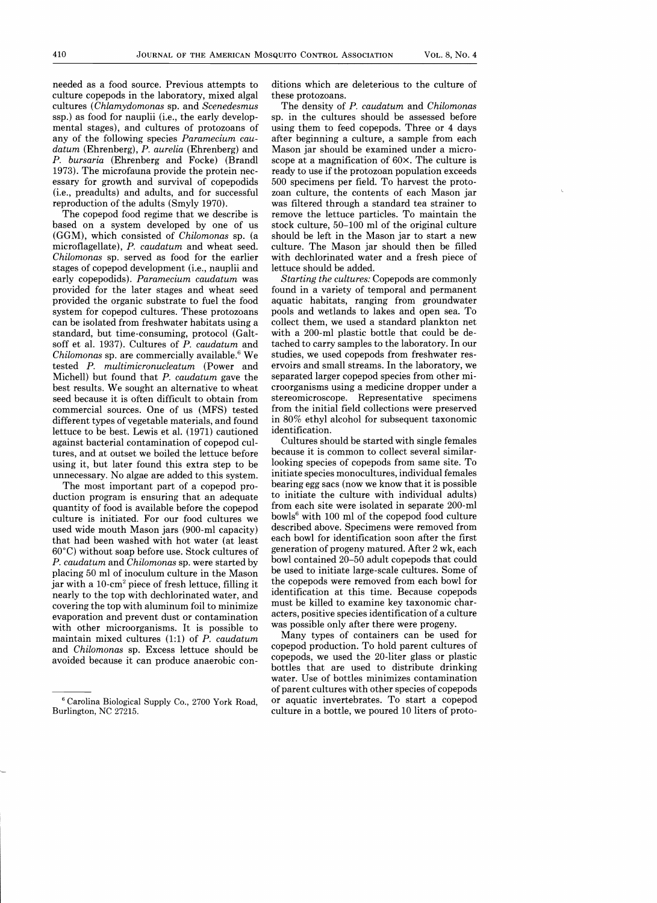needed as a food source. Previous attempts to culture copepods in the laboratory, mixed algal cultures *(Chlamydomonas* sp. and *Scenedesmus*  ssp.) as food for nauplii (i.e., the early developmental stages), and cultures of protozoans of any of the following species *Paramecium caudatum* (Ehrenberg), *P. aurelia* (Ehrenberg) and *P. bursaria* (Ehrenberg and Focke) (Brandl 1973). The microfauna provide the protein necessary for growth and survival of copepodids (i.e., preadults) and adults, and for successful reproduction of the adults (Smyly 1970).

The copepod food regime that we describe is based on a system developed by one of us (GGM), which consisted of *Chilomonas* sp. (a microflagellate), *P. caudatum* and wheat seed. *Chilomonas* sp. served as food for the earlier stages of copepod development (i.e., nauplii and early copepodids). *Paramecium caudatum* was provided for the later stages and wheat seed provided the organic substrate to fuel the food system for copepod cultures. These protozoans can be isolated from freshwater habitats using a standard, but time-consuming, protocol (Galtsoff et al. 1937). Cultures of *P. caudatum* and *Chilomonas* sp. are commercially available.6 We tested *P. multimicronucleatum* (Power and Michell) but found that *P. caudatum* gave the best results. We sought an alternative to wheat seed because it is often difficult to obtain from commercial sources. One of us (MFS) tested different types of vegetable materials, and found lettuce to be best. Lewis et al. (1971) cautioned against bacterial contamination of copepod cultures, and at outset we boiled the lettuce before using it, but later found this extra step to be unnecessary. No algae are added to this system.

The most important part of a copepod production program is ensuring that an adequate quantity of food is available before the copepod culture is initiated. For our food cultures we used wide mouth Mason jars (900-ml capacity) that had been washed with hot water (at least 60°C) without soap before use. Stock cultures of *P. caudatum* and *Chilomonas* sp. were started by placing 50 ml of inoculum culture in the Mason jar with a 10-cm<sup>2</sup> piece of fresh lettuce, filling it nearly to the top with dechlorinated water, and covering the top with aluminum foil to minimize evaporation and prevent dust or contamination with other microorganisms. It is possible to maintain mixed cultures (1:1) of *P. caudatum*  and *Chilomonas* sp. Excess lettuce should be avoided because it can produce anaerobic conditions which are deleterious to the culture of these protozoans.

The density of *P. caudatum* and *Chilomonas*  sp. in the cultures should be assessed before using them to feed copepods. Three or 4 days after beginning a culture, a sample from each Mason jar should be examined under a microscope at a magnification of 60x. The culture is ready to use if the protozoan population exceeds 500 specimens per field. To harvest the protozoan culture, the contents of each Mason jar was filtered through a standard tea strainer to remove the lettuce particles. To maintain the stock culture, 50-100 ml of the original culture should be left in the Mason jar to start a new culture. The Mason jar should then be filled with dechlorinated water and a fresh piece of lettuce should be added.

*Starting the cultures:* Copepods are commonly found in a variety of temporal and permanent aquatic habitats, ranging from groundwater pools and wetlands to lakes and open sea. To collect them, we used a standard plankton net with a 200-ml plastic bottle that could be detached to carry samples to the laboratory. In our studies, we used copepods from freshwater reservoirs and small streams. In the laboratory, we separated larger copepod species from other microorganisms using a medicine dropper under a stereomicroscope. Representative specimens from the initial field collections were preserved in 80% ethyl alcohol for subsequent taxonomic identification.

Cultures should be started with single females because it is common to collect several similarlooking species of copepods from same site. To initiate species monocultures, individual females bearing egg sacs (now we know that it is possible to initiate the culture with individual adults) from each site were isolated in separate 200-ml bowls $6$  with 100 ml of the copepod food culture described above. Specimens were removed from each bowl for identification soon after the first generation of progeny matured. After 2 wk, each bowl contained 20-50 adult copepods that could be used to initiate large-scale cultures. Some of the copepods were removed from each bowl for identification at this time. Because copepods must be killed to examine key taxonomic characters, positive species identification of a culture was possible only after there were progeny.

Many types of containers can be used for copepod production. To hold parent cultures of copepods, we used the 20-liter glass or plastic bottles that are used to distribute drinking water. Use of bottles minimizes contamination of parent cultures with other species of copepods or aquatic invertebrates. To start a copepod culture in a bottle, we poured 10 liters of proto

<sup>&</sup>lt;sup>6</sup> Carolina Biological Supply Co., 2700 York Road, Burlington, NC 27215.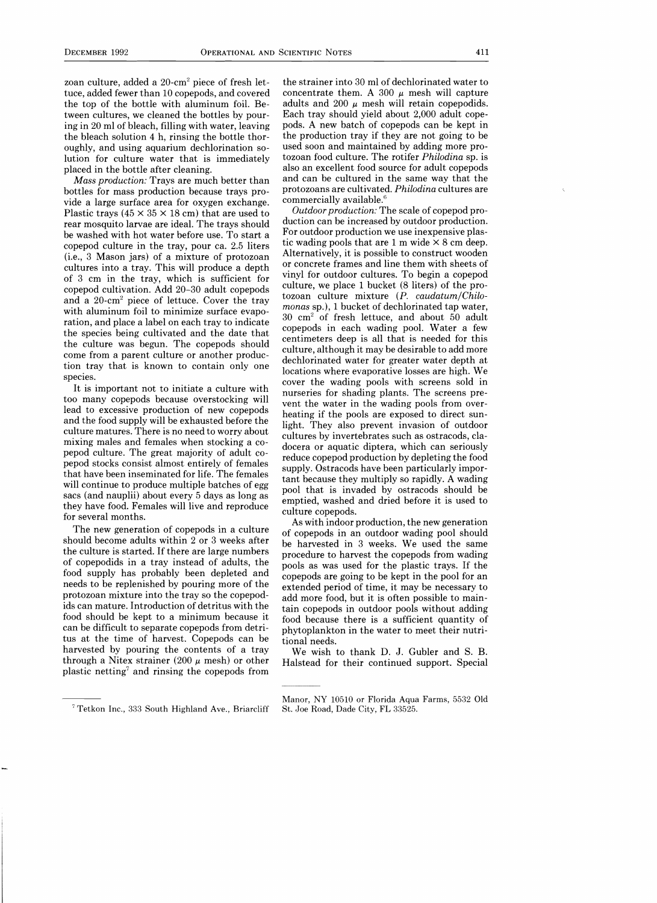zoan culture, added a 20-cm2 piece of fresh lettuce, added fewer than 10 copepods, and covered the top of the bottle with aluminum foil. Between cultures, we cleaned the bottles by pouring in 20 ml of bleach, filling with water, leaving the bleach solution 4 h, rinsing the bottle thoroughly, and using aquarium dechlorination solution for culture water that is immediately placed in the bottle after cleaning.

*Mass production:* Trays are much better than bottles for mass production because trays provide a large surface area for oxygen exchange. Plastic trays (45  $\times$  35  $\times$  18 cm) that are used to rear mosquito larvae are ideal. The trays should be washed with hot water before use. To start a copepod culture in the tray, pour ca. 2.5 liters (i.e., 3 Mason jars) of a mixture of protozoan cultures into a tray. This will produce a depth of 3 cm in the tray, which is sufficient for copepod cultivation. Add 20-30 adult copepods and a 20-cm2 piece of lettuce. Cover the tray with aluminum foil to minimize surface evaporation, and place a label on each tray to indicate the species being cultivated and the date that the culture was begun. The copepods should come from a parent culture or another production tray that is known to contain only one species.

It is important not to initiate a culture with too many copepods because overstocking will lead to excessive production of new copepods and the food supply will be exhausted before the culture matures. There is no need to worry about mixing males and females when stocking a copepod culture. The great majority of adult copepod stocks consist almost entirely of females that have been inseminated for life. The females will continue to produce multiple batches of egg sacs (and nauplii) about every 5 days as long as they have food. Females will live and reproduce for several months.

The new generation of copepods in a culture should become adults within 2 or 3 weeks after the culture is started. If there are large numbers of copepodids in a tray instead of adults, the food supply has probably been depleted and needs to be replenished by pouring more of the protozoan mixture into the tray so the copepodids can mature. Introduction of detritus with the food should be kept to a minimum because it can be difficult to separate copepods from detritus at the time of harvest. Copepods can be harvested by pouring the contents of a tray through a Nitex strainer (200  $\mu$  mesh) or other plastic netting? and rinsing the copepods from

the strainer into 30 ml of dechlorinated water to concentrate them. A 300  $\mu$  mesh will capture adults and 200  $\mu$  mesh will retain copepodids. Each tray should yield about 2,000 adult copepods. A new batch of copepods can be kept in the production tray if they are not going to be used soon and maintained by adding more protozoan food culture. The rotifer *Philodina* sp. is also an excellent food source for adult copepods and can be cultured in the same way that the protozoans are cultivated. *Philodina* cultures are commercially available.<sup>6</sup>

*Outdoor production:* The scale of copepod production can be increased by outdoor production. For outdoor production we use inexpensive plastic wading pools that are 1 m wide  $\times$  8 cm deep. Alternatively, it is possible to construct wooden or concrete frames and line them with sheets of vinyl for outdoor cultures. To begin a copepod culture, we place 1 bucket (8 liters) of the protozoan culture mixture *(P. caudatumjChilomonas* sp.), 1 bucket of dechlorinated tap water, 30 cm2 of fresh lettuce, and about 50 adult copepods in each wading pool. Water a few centimeters deep is all that is needed for this culture, although it may be desirable to add more dechlorinated water for greater water depth at locations where evaporative losses are high. We cover the wading pools with screens sold in nurseries for shading plants. The screens prevent the water in the wading pools from overheating if the pools are exposed to direct sunlight. They also prevent invasion of outdoor cultures by invertebrates such as ostracods, cladocera or aquatic diptera, which can seriously reduce copepod production by depleting the food supply. Ostracods have been particularly important because they multiply so rapidly. A wading pool that is invaded by ostracods should be emptied, washed and dried before it is used to culture copepods.

As with indoor production, the new generation of copepods in an outdoor wading pool should be harvested in 3 weeks. We used the same procedure to harvest the copepods from wading pools as was used for the plastic trays. If the copepods are going to be kept in the pool for an extended period of time, it may be necessary to add more food, but it is often possible to maintain copepods in outdoor pools without adding food because there is a sufficient quantity of phytoplankton in the water to meet their nutritional needs.

We wish to thank D. J. Gubler and S. B. Halstead for their continued support. Special

Manor, NY 10510 or Florida Aqua Farms, 5532 Old St. Joe Road, Dade City, FL 33525.

<sup>7</sup> Tetkon Inc., 333 South Highland Ave., Briarcliff